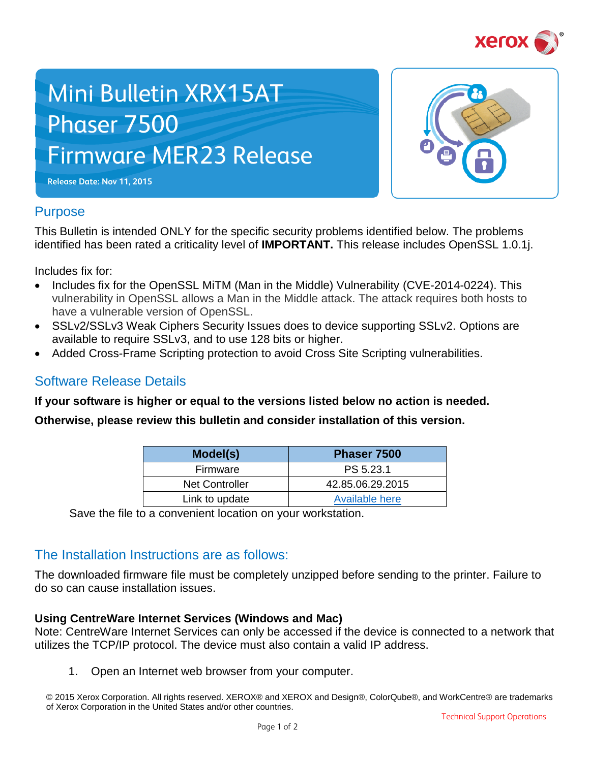

# Mini Bulletin XRX15AT Phaser 7500 Firmware MER23 Release





# **Purpose**

This Bulletin is intended ONLY for the specific security problems identified below. The problems identified has been rated a criticality level of **IMPORTANT.** This release includes OpenSSL 1.0.1j.

Includes fix for:

- Includes fix for the OpenSSL MiTM (Man in the Middle) Vulnerability (CVE-2014-0224). This vulnerability in OpenSSL allows a Man in the Middle attack. The attack requires both hosts to have a vulnerable version of OpenSSL.
- SSLv2/SSLv3 Weak Ciphers Security Issues does to device supporting SSLv2. Options are available to require SSLv3, and to use 128 bits or higher.
- Added Cross-Frame Scripting protection to avoid Cross Site Scripting vulnerabilities.

# Software Release Details

**If your software is higher or equal to the versions listed below no action is needed.**

**Otherwise, please review this bulletin and consider installation of this version.** 

| Model(s)              | Phaser 7500      |
|-----------------------|------------------|
| Firmware              | PS 5.23.1        |
| <b>Net Controller</b> | 42.85.06.29.2015 |
| Link to update        | Available here   |

Save the file to a convenient location on your workstation.

# The Installation Instructions are as follows:

The downloaded firmware file must be completely unzipped before sending to the printer. Failure to do so can cause installation issues.

#### **Using CentreWare Internet Services (Windows and Mac)**

Note: CentreWare Internet Services can only be accessed if the device is connected to a network that utilizes the TCP/IP protocol. The device must also contain a valid IP address.

1. Open an Internet web browser from your computer.

© 2015 Xerox Corporation. All rights reserved. XEROX® and XEROX and Design®, ColorQube®, and WorkCentre® are trademarks of Xerox Corporation in the United States and/or other countries.